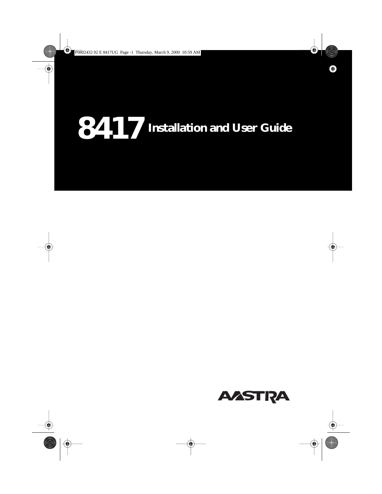# **Installation and User Guide**

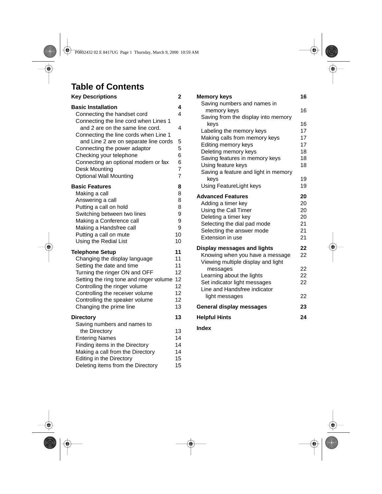# **Table of Contents**

| <b>Key Descriptions</b>                                                                                            | 2                        |
|--------------------------------------------------------------------------------------------------------------------|--------------------------|
| <b>Basic Installation</b><br>Connecting the handset cord                                                           | 4<br>4                   |
| Connecting the line cord when Lines 1<br>and 2 are on the same line cord.<br>Connecting the line cords when Line 1 | 4                        |
| and Line 2 are on separate line cords<br>Connecting the power adaptor<br>Checking your telephone                   | 5<br>5<br>6              |
| Connecting an optional modem or fax<br>Desk Mounting<br><b>Optional Wall Mounting</b>                              | 6<br>$\overline{7}$<br>7 |
| <b>Basic Features</b><br>Making a call                                                                             | 8<br>8                   |
| Answering a call<br>Putting a call on hold<br>Switching between two lines                                          | 8<br>8<br>9              |
| Making a Conference call<br>Making a Handsfree call                                                                | 9<br>9                   |
| Putting a call on mute<br>Using the Redial List                                                                    | 10<br>10                 |
| <b>Telephone Setup</b>                                                                                             | 11                       |
| Changing the display language<br>Setting the date and time                                                         | 11<br>11                 |
| Turning the ringer ON and OFF                                                                                      | 12                       |
| Setting the ring tone and ringer volume                                                                            | 12                       |
| Controlling the ringer volume                                                                                      | 12                       |
| Controlling the receiver volume                                                                                    | 12                       |
| Controlling the speaker volume<br>Changing the prime line                                                          | 12<br>13                 |
| <b>Directory</b>                                                                                                   | 13                       |
| Saving numbers and names to<br>the Directory                                                                       | 13                       |
| <b>Entering Names</b>                                                                                              | 14                       |
| Finding items in the Directory                                                                                     | 14                       |
| Making a call from the Directory                                                                                   | 14                       |
| Editing in the Directory                                                                                           | 15                       |
| Deleting items from the Directory                                                                                  | 15                       |

| <b>Memory keys</b>                                           | 16 |
|--------------------------------------------------------------|----|
| Saving numbers and names in                                  |    |
| memory keys                                                  | 16 |
| Saving from the display into memory                          |    |
| keys                                                         | 16 |
| Labeling the memory keys                                     | 17 |
| Making calls from memory keys                                | 17 |
| Editing memory keys                                          | 17 |
| Deleting memory keys                                         | 18 |
| Saving features in memory keys                               | 18 |
| Using feature keys                                           | 18 |
| Saving a feature and light in memory                         |    |
| kevs                                                         | 19 |
| Using FeatureLight keys                                      | 19 |
| <b>Advanced Features</b>                                     | 20 |
| Adding a timer key                                           | 20 |
| Using the Call Timer                                         | 20 |
| Deleting a timer key                                         | 20 |
| Selecting the dial pad mode                                  | 21 |
| Selecting the answer mode                                    | 21 |
| Extension in use                                             | 21 |
|                                                              |    |
| Display messages and lights                                  | 22 |
| Knowing when you have a message                              | 22 |
| Viewing multiple display and light                           |    |
| messages                                                     | 22 |
| Learning about the lights                                    | 22 |
| Set indicator light messages<br>Line and Handsfree indicator | 22 |
|                                                              |    |
| light messages                                               | 22 |
| <b>General display messages</b>                              | 23 |
| <b>Helpful Hints</b>                                         | 24 |
| Index                                                        |    |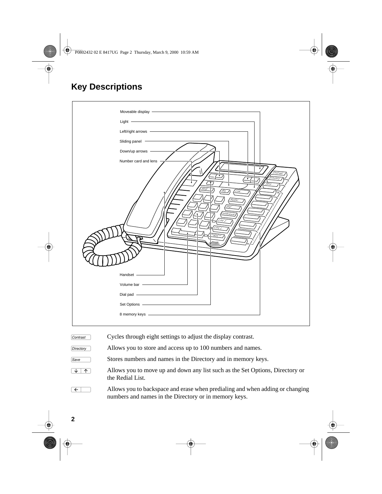# **Key Descriptions**

| Moveable display -                                                                                                                                                                                                                                                                                                           |                               |
|------------------------------------------------------------------------------------------------------------------------------------------------------------------------------------------------------------------------------------------------------------------------------------------------------------------------------|-------------------------------|
| $\begin{tabular}{c} Light \\ \hline \end{tabular}$                                                                                                                                                                                                                                                                           |                               |
|                                                                                                                                                                                                                                                                                                                              |                               |
| Sliding panel -                                                                                                                                                                                                                                                                                                              |                               |
| Down/up arrows -                                                                                                                                                                                                                                                                                                             |                               |
| Number card and lens                                                                                                                                                                                                                                                                                                         |                               |
| Hold<br>R/s<br>$L$ ink<br>Redia<br>Diai<br>onterence<br>Line<br>line<br>stree<br>Handset -<br>Dial pad - The Commission of the Commission of the Commission of the Commission of the Commission of the Commission of the Commission of the Commission of the Commission of the Commission of the Commission of the Commissio | Contrast<br>Directory<br>Save |

| Contrast  | Cycles through eight settings to adjust the display contrast.                                                                          |
|-----------|----------------------------------------------------------------------------------------------------------------------------------------|
| Directory | Allows you to store and access up to 100 numbers and names.                                                                            |
| Save      | Stores numbers and names in the Directory and in memory keys.                                                                          |
| T.        | Allows you to move up and down any list such as the Set Options, Directory or<br>the Redial List.                                      |
|           | Allows you to backspace and erase when predialing and when adding or changing<br>numbers and names in the Directory or in memory keys. |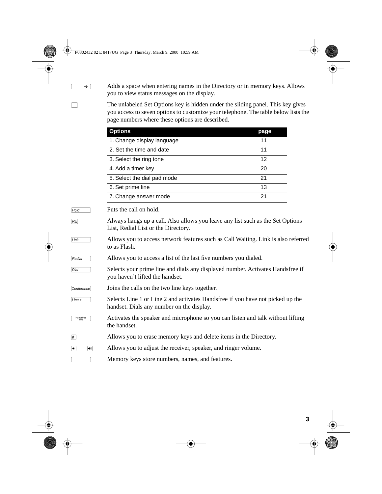$\overline{\rightarrow}$  Adds a space when entering names in the Directory or in memory keys. Allows you to view status messages on the display.

> † The unlabeled Set Options key is hidden under the sliding panel. This key gives you access to seven options to customize your telephone. The table below lists the page numbers where these options are described.

|                                                 | <b>Options</b>                                                                                                              | page |
|-------------------------------------------------|-----------------------------------------------------------------------------------------------------------------------------|------|
|                                                 | 1. Change display language                                                                                                  | 11   |
|                                                 | 2. Set the time and date                                                                                                    | 11   |
|                                                 | 3. Select the ring tone                                                                                                     | 12   |
|                                                 | 4. Add a timer key                                                                                                          | 20   |
|                                                 | 5. Select the dial pad mode                                                                                                 | 21   |
|                                                 | 6. Set prime line                                                                                                           | 13   |
|                                                 | 7. Change answer mode                                                                                                       | 21   |
| Hold                                            | Puts the call on hold.                                                                                                      |      |
| R s                                             | Always hangs up a call. Also allows you leave any list such as the Set Options<br>List, Redial List or the Directory.       |      |
| Link                                            | Allows you to access network features such as Call Waiting. Link is also referred<br>to as Flash.                           |      |
| Redial                                          | Allows you to access a list of the last five numbers you dialed.                                                            |      |
| Dial                                            | Selects your prime line and dials any displayed number. Activates Handsfree if<br>you haven't lifted the handset.           |      |
| Conference                                      | Joins the calls on the two line keys together.                                                                              |      |
| Line x                                          | Selects Line 1 or Line 2 and activates Handsfree if you have not picked up the<br>handset. Dials any number on the display. |      |
| Handsfree                                       | Activates the speaker and microphone so you can listen and talk without lifting<br>the handset.                             |      |
| $\left  \# \right $                             | Allows you to erase memory keys and delete items in the Directory.                                                          |      |
| $\blacktriangleleft$<br>$\boxed{\blacklozenge}$ | Allows you to adjust the receiver, speaker, and ringer volume.                                                              |      |
|                                                 | Memory keys store numbers, names, and features.                                                                             |      |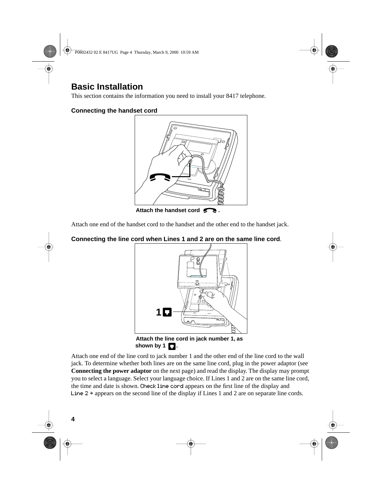# **Basic Installation**

This section contains the information you need to install your 8417 telephone.

### **Connecting the handset cord**



Attach one end of the handset cord to the handset and the other end to the handset jack.

## **Connecting the line cord when Lines 1 and 2 are on the same line cord**.



**Attach the line cord in jack number 1, as** shown by  $1 \square$ .

Attach one end of the line cord to jack number 1 and the other end of the line cord to the wall jack. To determine whether both lines are on the same line cord, plug in the power adaptor (see **Connecting the power adaptor** on the next page) and read the display. The display may prompt you to select a language. Select your language choice. If Lines 1 and 2 are on the same line cord, the time and date is shown. Check line cord appears on the first line of the display and Line  $2 \rightarrow$  appears on the second line of the display if Lines 1 and 2 are on separate line cords.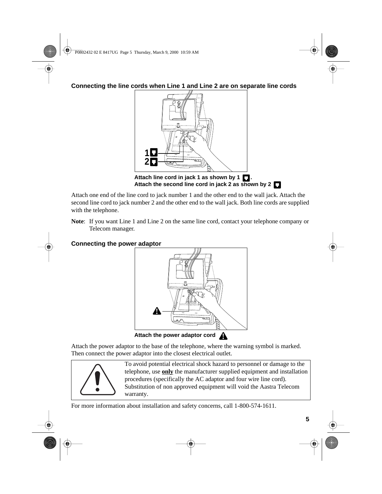**Connecting the line cords when Line 1 and Line 2 are on separate line cords**



Attach one end of the line cord to jack number 1 and the other end to the wall jack. Attach the second line cord to jack number 2 and the other end to the wall jack. Both line cords are supplied with the telephone.

**Note**: If you want Line 1 and Line 2 on the same line cord, contact your telephone company or Telecom manager.

# **Connecting the power adaptor**



Attach the power adaptor to the base of the telephone, where the warning symbol is marked. Then connect the power adaptor into the closest electrical outlet.



To avoid potential electrical shock hazard to personnel or damage to the telephone, use **only** the manufacturer supplied equipment and installation procedures (specifically the AC adaptor and four wire line cord). Substitution of non approved equipment will void the Aastra Telecom warranty.

For more information about installation and safety concerns, call 1-800-574-1611.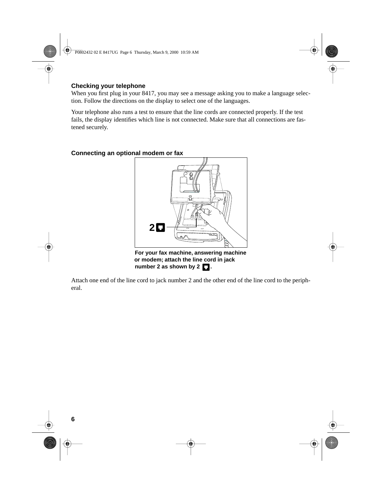#### **Checking your telephone**

When you first plug in your 8417, you may see a message asking you to make a language selection. Follow the directions on the display to select one of the languages.

Your telephone also runs a test to ensure that the line cords are connected properly. If the test fails, the display identifies which line is not connected. Make sure that all connections are fastened securely.



**Connecting an optional modem or fax**

**or modem; attach the line cord in jack** number 2 as shown by 2  $\blacksquare$ .

Attach one end of the line cord to jack number 2 and the other end of the line cord to the peripheral.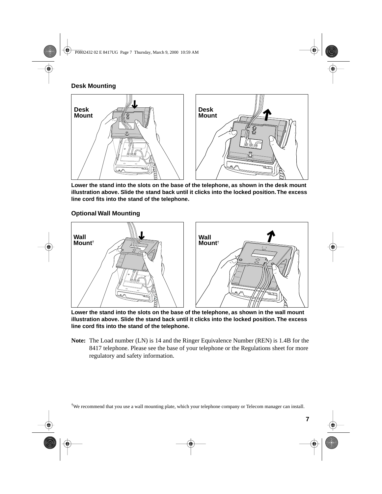# **Desk Mounting**



**Lower the stand into the slots on the base of the telephone, as shown in the desk mount illustration above. Slide the stand back until it clicks into the locked position. The excess line cord fits into the stand of the telephone.**

## **Optional Wall Mounting**



**Lower the stand into the slots on the base of the telephone, as shown in the wall mount illustration above. Slide the stand back until it clicks into the locked position. The excess line cord fits into the stand of the telephone.**

**Note:** The Load number (LN) is 14 and the Ringer Equivalence Number (REN) is 1.4B for the 8417 telephone. Please see the base of your telephone or the Regulations sheet for more regulatory and safety information.

† We recommend that you use a wall mounting plate, which your telephone company or Telecom manager can install.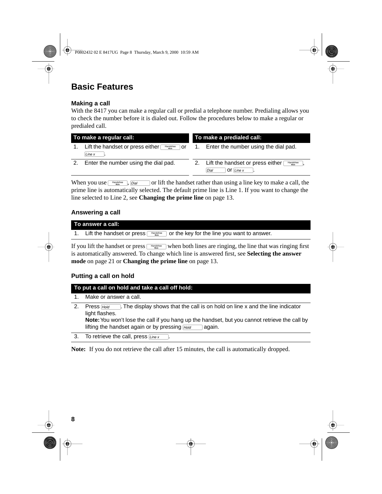# **Basic Features**

#### **Making a call**

With the 8417 you can make a regular call or predial a telephone number. Predialing allows you to check the number before it is dialed out. Follow the procedures below to make a regular or predialed call.

| To make a regular call: |                                                                 | To make a predialed call: |                                                                                 |
|-------------------------|-----------------------------------------------------------------|---------------------------|---------------------------------------------------------------------------------|
|                         | Lift the handset or press either<br>Handsfree<br>or<br>Line $x$ |                           | 1. Enter the number using the dial pad.                                         |
| 2.                      | Enter the number using the dial pad.                            |                           | 2. Lift the handset or press either<br>Handsfree<br>Mute<br>Of Line $x$<br>Dial |

When you use  $\Box$ <sup>tangated</sup>, *Dial*  $\Box$  or lift the handset rather than using a line key to make a call, the prime line is automatically selected. The default prime line is Line 1. If you want to change the line selected to Line 2, see **Changing the prime line** on [page 13.](#page-14-0)

#### **Answering a call**

| To answer a call:                                                                                                |
|------------------------------------------------------------------------------------------------------------------|
| 1. Lift the handset or press $\sqrt{\frac{1}{2} \cdot \frac{1}{10}}$ or the key for the line you want to answer. |

If you lift the handset or press  $\frac{100 \text{ rad/sec}}{100 \text{ rad}}$  when both lines are ringing, the line that was ringing first is automatically answered. To change which line is answered first, see **Selecting the answer mode** on [page 21](#page-22-0) or **Changing the prime line** on [page 13.](#page-14-0)

#### **Putting a call on hold**

#### **To put a call on hold and take a call off hold:**

- 1. Make or answer a call.
- 2. Press  $\frac{H_{old}}{H_{old}}$ . The display shows that the call is on hold on line x and the line indicator light flashes.

**Note:** You won't lose the call if you hang up the handset, but you cannot retrieve the call by lifting the handset again or by pressing  $H_{old}$  again.

3. To retrieve the call, press  $\overline{Line~x}$ 

**Note:** If you do not retrieve the call after 15 minutes, the call is automatically dropped.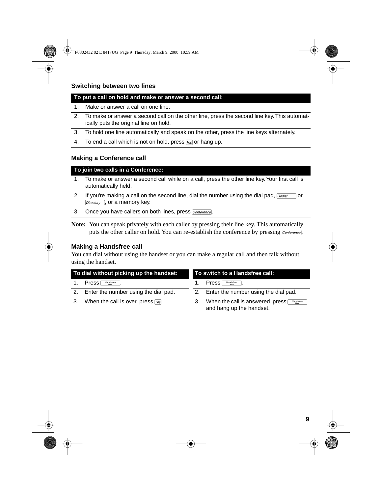## **Switching between two lines**

#### **To put a call on hold and make or answer a second call:**

- 1. Make or answer a call on one line.
- 2. To make or answer a second call on the other line, press the second line key. This automatically puts the original line on hold.
- 3. To hold one line automatically and speak on the other, press the line keys alternately.
- 4. To end a call which is not on hold, press  $\overline{B}$  or hang up.

#### **Making a Conference call**

#### **To join two calls in a Conference:**

- 1. To make or answer a second call while on a call, press the other line key. Your first call is automatically held.
- 2. If you're making a call on the second line, dial the number using the dial pad,  $\sqrt{B_{redial}}$  or Directory , or a memory key.
- 3. Once you have callers on both lines, press Conference.
- **Note:** You can speak privately with each caller by pressing their line key. This automatically puts the other caller on hold. You can re-establish the conference by pressing  $\overline{\mathit{Conterence}}$ .

#### **Making a Handsfree call**

You can dial without using the handset or you can make a regular call and then talk without using the handset.

|    | To dial without picking up the handset:<br>To switch to a Handsfree call: |    |                                                                                     |
|----|---------------------------------------------------------------------------|----|-------------------------------------------------------------------------------------|
|    | <b>Press</b><br>Handsfree                                                 |    | Press<br>Handsfree                                                                  |
|    | 2. Enter the number using the dial pad.                                   |    | 2. Enter the number using the dial pad.                                             |
| 3. | When the call is over, press $\overline{R}$ .                             | 3. | When the call is answered, press [<br>Handsfree<br>Mute<br>and hang up the handset. |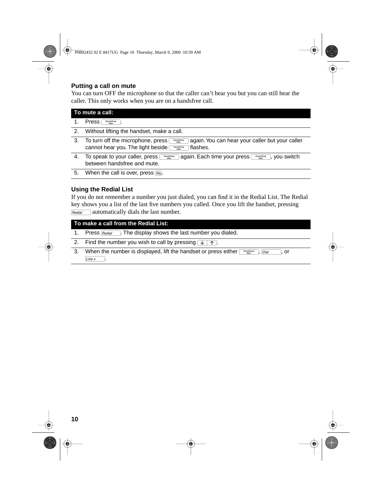#### **Putting a call on mute**

You can turn OFF the microphone so that the caller can't hear you but you can still hear the caller. This only works when you are on a handsfree call.

|    | To mute a call:                                                                                                                                                                 |  |  |
|----|---------------------------------------------------------------------------------------------------------------------------------------------------------------------------------|--|--|
|    | Press<br>Handsfree                                                                                                                                                              |  |  |
| 2. | Without lifting the handset, make a call.                                                                                                                                       |  |  |
| 3. | To turn off the microphone, press<br>again. You can hear your caller but your caller<br>Handsfree<br>Mute<br>cannot hear you. The light beside<br>flashes.<br>Handsfree<br>Mute |  |  |
| 4. | again. Each time your press<br>To speak to your caller, press<br>you switch<br>Handsfree<br>Handsfree<br>between handsfree and mute.                                            |  |  |

5. When the call is over, press  $F$ .

#### **Using the Redial List**

If you do not remember a number you just dialed, you can find it in the Redial List. The Redial key shows you a list of the last five numbers you called. Once you lift the handset, pressing  $F_{\text{Redial}}$  automatically dials the last number.

|             | To make a call from the Redial List:                                                         |  |  |
|-------------|----------------------------------------------------------------------------------------------|--|--|
| $1_{\cdot}$ | Press $F_{\text{Redial}}$ . The display shows the last number you dialed.                    |  |  |
|             | 2. Find the number you wish to call by pressing $\sqrt{1 + \gamma}$ .                        |  |  |
| 3.          | When the number is displayed, lift the handset or press either<br>Handsfree<br>l. or<br>Dial |  |  |
|             | Line x                                                                                       |  |  |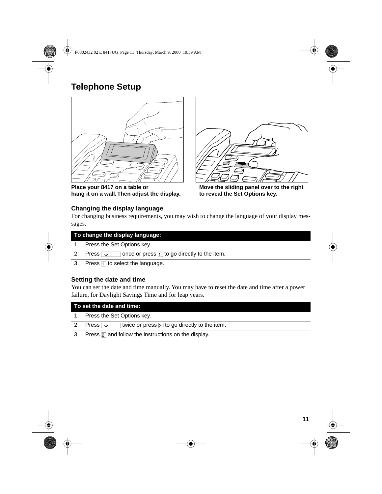# <span id="page-12-0"></span>**Telephone Setup**



Place your 8417 on a table or **Move the sliding panel over to the right**<br>
hang it on a wall. Then adjust the display. **to reveal the Set Options key.** hang it on a wall. Then adjust the display.



#### **Changing the display language**

For changing business requirements, you may wish to change the language of your display messages.

|    | To change the display language:                                      |  |
|----|----------------------------------------------------------------------|--|
| 1. | Press the Set Options key.                                           |  |
| 2. | once or press $\Box$ to go directly to the item.<br>Press $\sqrt{1}$ |  |
|    | 3. Press $\Box$ to select the language.                              |  |
|    |                                                                      |  |

#### **Setting the date and time**

You can set the date and time manually. You may have to reset the date and time after a power failure, for Daylight Savings Time and for leap years.

| To set the date and time:                                          |  |  |
|--------------------------------------------------------------------|--|--|
| 1. Press the Set Options key.                                      |  |  |
| twice or press $\boxed{2}$ to go directly to the item.<br>2. Press |  |  |
| 3. Press $\boxed{2}$ and follow the instructions on the display.   |  |  |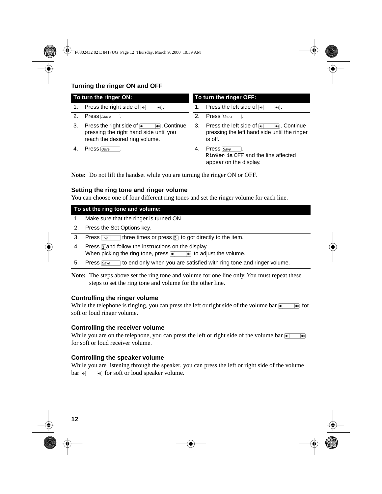# <span id="page-13-0"></span>**Turning the ringer ON and OFF**

| To turn the ringer ON: |                                                                                                                              | To turn the ringer OFF: |                                                                                                            |
|------------------------|------------------------------------------------------------------------------------------------------------------------------|-------------------------|------------------------------------------------------------------------------------------------------------|
|                        | Press the right side of $\blacksquare$<br>$\lceil \bullet \circ \rceil$ .                                                    |                         | Press the left side of ⊕<br>$\left[\rule{0pt}{10pt}\right. \bullet\right]$ .                               |
| 2.                     | Press $\overline{Line~x}$                                                                                                    | 2.                      | Press $\overline{Line~x}$                                                                                  |
| 3.                     | Press the right side of $\sqrt{ }$<br>। Continue<br>pressing the right hand side until you<br>reach the desired ring volume. | 3.                      | Press the left side of <b>o</b><br>নি .Continue<br>pressing the left hand side until the ringer<br>is off. |
| 4.                     | Press Save                                                                                                                   | 4.                      | Press Save<br>Ringer is OFF and the line affected<br>appear on the display.                                |

**Note:** Do not lift the handset while you are turning the ringer ON or OFF.

#### **Setting the ring tone and ringer volume**

You can choose one of four different ring tones and set the ringer volume for each line.

|    | To set the ring tone and volume:                                                      |  |  |  |
|----|---------------------------------------------------------------------------------------|--|--|--|
|    | Make sure that the ringer is turned ON.                                               |  |  |  |
| 2. | Press the Set Options key.                                                            |  |  |  |
| 3. | three times or press $\boxed{3}$ to got directly to the item.<br>Press $\sqrt{1}$     |  |  |  |
| 4. | Press 3 and follow the instructions on the display.                                   |  |  |  |
|    | When picking the ring tone, press $\bullet$ $\bullet$ $\bullet$ to adjust the volume. |  |  |  |
|    | to end only when you are satisfied with ring tone and ringer volume.<br>Press Save    |  |  |  |

**Note:** The steps above set the ring tone and volume for one line only. You must repeat these steps to set the ring tone and volume for the other line.

#### **Controlling the ringer volume**

While the telephone is ringing, you can press the left or right side of the volume bar  $\overline{\bullet}$  for soft or loud ringer volume.

#### **Controlling the receiver volume**

While you are on the telephone, you can press the left or right side of the volume bar  $\bullet$ for soft or loud receiver volume.

#### **Controlling the speaker volume**

While you are listening through the speaker, you can press the left or right side of the volume bar  $\sqrt{\bullet}$   $\sqrt{\bullet}$  for soft or loud speaker volume.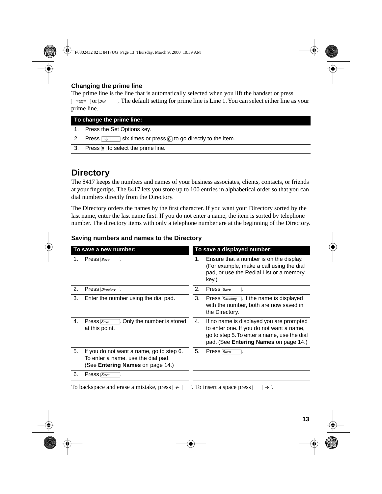#### <span id="page-14-0"></span>**Changing the prime line**

The prime line is the line that is automatically selected when you lift the handset or press  $\frac{F_{\text{length}^{\text{edge}}}$  or  $\boxed{Dial}$  The default setting for prime line is Line 1. You can select either line as your prime line.

| To change the prime line: |                                                                            |  |
|---------------------------|----------------------------------------------------------------------------|--|
|                           | 1. Press the Set Options key.                                              |  |
| 2.                        | Press $\sqrt{v}$ six times or press $\sqrt{6}$ to go directly to the item. |  |
|                           | 3. Press $\overline{6}$ to select the prime line.                          |  |

# **Directory**

The 8417 keeps the numbers and names of your business associates, clients, contacts, or friends at your fingertips. The 8417 lets you store up to 100 entries in alphabetical order so that you can dial numbers directly from the Directory.

The Directory orders the names by the first character. If you want your Directory sorted by the last name, enter the last name first. If you do not enter a name, the item is sorted by telephone number. The directory items with only a telephone number are at the beginning of the Directory.

#### **Saving numbers and names to the Directory**

| To save a new number: |                                                                                                                           | To save a displayed number: |                                                                                                                                                                                     |  |
|-----------------------|---------------------------------------------------------------------------------------------------------------------------|-----------------------------|-------------------------------------------------------------------------------------------------------------------------------------------------------------------------------------|--|
| 1.                    | Press Save                                                                                                                | 1.                          | Ensure that a number is on the display.<br>(For example, make a call using the dial<br>pad, or use the Redial List or a memory<br>key.)                                             |  |
| 2.                    | <b>Press</b> Directory                                                                                                    | 2.                          | Press Save                                                                                                                                                                          |  |
| 3.                    | Enter the number using the dial pad.                                                                                      | 3.                          | Press $\boxed{Directory}$ . If the name is displayed<br>with the number, both are now saved in<br>the Directory.                                                                    |  |
| 4.                    | Only the number is stored<br>Press Save<br>at this point.                                                                 | 4.                          | If no name is displayed you are prompted<br>to enter one. If you do not want a name,<br>go to step 5. To enter a name, use the dial<br>pad. (See <b>Entering Names</b> on page 14.) |  |
| 5.                    | If you do not want a name, go to step 6.<br>To enter a name, use the dial pad.<br>(See <b>Entering Names</b> on page 14.) | 5.                          | Press Save                                                                                                                                                                          |  |
| 6.                    | Press Save                                                                                                                |                             |                                                                                                                                                                                     |  |
|                       | $\cdot$ $\cdot$ $\cdot$ $\cdot$                                                                                           |                             |                                                                                                                                                                                     |  |

To backspace and erase a mistake, press  $\overline{\leftarrow}$ . To insert a space press  $\overline{\rightarrow}$ .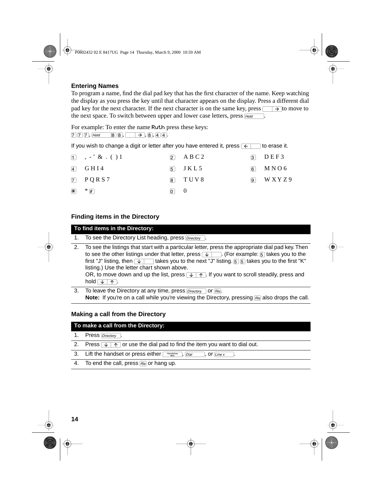### <span id="page-15-0"></span>**Entering Names**

To program a name, find the dial pad key that has the first character of the name. Keep watching the display as you press the key until that character appears on the display. Press a different dial pad key for the next character. If the next character is on the same key, press  $\Box \rightarrow \bot$  to move to the next space. To switch between upper and lower case letters, press  $F_{\text{Hold}}$ 

For example: To enter the name Ruth press these keys:

 $[7]$   $[7]$ ,  $[4]$   $[8]$   $[8]$ ,  $[3]$ ,  $[4]$ ,

If you wish to change a digit or letter after you have entered it, press  $\overline{\leftarrow}$  to erase it.

|                                       | $\begin{bmatrix} 1 & , - \end{bmatrix}$ & . ( ) 1 |               | $\boxed{2}$ ABC2 | $\Box$ DEF3       |
|---------------------------------------|---------------------------------------------------|---------------|------------------|-------------------|
|                                       | $\boxed{4}$ GHI4                                  |               | $\boxed{5}$ JKL5 | $6$ MNO6          |
|                                       | $\boxed{7}$ PQRS7                                 |               | $\boxed{8}$ TUV8 | $\boxed{9}$ WXYZ9 |
| $\left  \mathbf{\overline{*}}\right $ | $*$ $\mathbb{F}$                                  | $\boxed{0}$ 0 |                  |                   |

## **Finding items in the Directory**

# **To find items in the Directory:**

- 1. To see the Directory List heading, press  $\boxed{Directory}$ .
- 2. To see the listings that start with a particular letter, press the appropriate dial pad key. Then to see the other listings under that letter, press  $\sqrt{v}$ . (For example:  $5$  takes you to the first "J" listing, then  $\sqrt{ }$  takes you to the next "J" listing.  $[5]$  fakes you to the first "K" listing.) Use the letter chart shown above. OR, to move down and up the list, press  $\sqrt{+ \uparrow}$ . If you want to scroll steadily, press and  $hold$  $\nabla \cdot \overline{\wedge}$ .
- 3. To leave the Directory at any time, press  $\overline{Directory}$  or  $\overline{Risk}$ . **Note:** If you're on a call while you're viewing the Directory, pressing **RIS** also drops the call.

#### **Making a call from the Directory**

#### **To make a call from the Directory:**

- 1. Press Directory
- 2. Press  $\sqrt{1 + \gamma}$  or use the dial pad to find the item you want to dial out.
- 3. Lift the handset or press either ©, ∂, or ¬.
- 4. To end the call, press  $\overline{B}$  or hang up.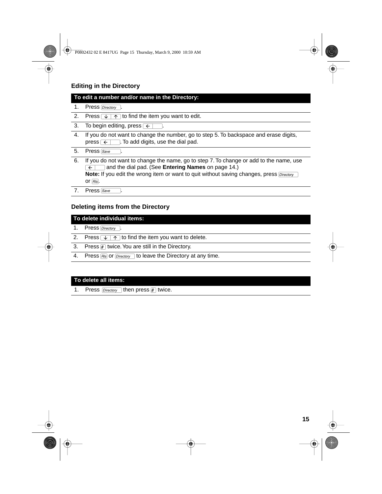# **Editing in the Directory**

#### **To edit a number and/or name in the Directory:**

- 1. Press Directory .
- 2. Press  $\sqrt{1 + \gamma}$  to find the item you want to edit.
- 3. To begin editing, press  $\leftarrow$ .
- 4. If you do not want to change the number, go to step 5. To backspace and erase digits, press  $\overline{\leftarrow}$ . To add digits, use the dial pad.

| Press Save |  |
|------------|--|

- 6. If you do not want to change the name, go to step 7. To change or add to the name, use **Full and the dial pad. (See Entering Names** on [page 14](#page-15-0).) or  $\boxed{RIS}$ . Note: If you edit the wrong item or want to quit without saving changes, press **Directory**
- 7. Press [Save

#### **Deleting items from the Directory**

#### **To delete individual items:**

- 1. Press Directory .
- 2. Press  $\sqrt{1 + \gamma}$  to find the item you want to delete.
- 3. Press  $\mathbb{F}$  twice. You are still in the Directory.
- 4. Press  $F$  as or  $\overline{Directory}$  to leave the Directory at any time.

#### **To delete all items:**

1. Press  $\boxed{ \text{Directory}}$  then press  $\boxed{\#}$  twice.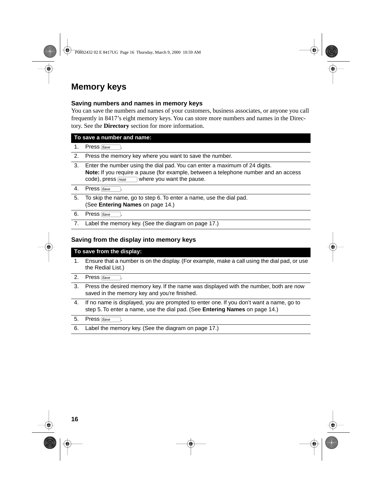# **Memory keys**

#### **Saving numbers and names in memory keys**

You can save the numbers and names of your customers, business associates, or anyone you call frequently in 8417's eight memory keys. You can store more numbers and names in the Directory. See the **Directory** section for more information.

|    | To save a number and name:                                                                                                                                                                                                   |  |  |
|----|------------------------------------------------------------------------------------------------------------------------------------------------------------------------------------------------------------------------------|--|--|
| 1. | Press Save                                                                                                                                                                                                                   |  |  |
| 2. | Press the memory key where you want to save the number.                                                                                                                                                                      |  |  |
| 3. | Enter the number using the dial pad. You can enter a maximum of 24 digits.<br><b>Note:</b> If you require a pause (for example, between a telephone number and an access<br>code), press $H_{old}$ where you want the pause. |  |  |
| 4. | Press Save                                                                                                                                                                                                                   |  |  |
| 5. | To skip the name, go to step 6. To enter a name, use the dial pad.<br>(See Entering Names on page 14.)                                                                                                                       |  |  |
| 6. | Press Save                                                                                                                                                                                                                   |  |  |

7. Label the memory key. (See the diagram o[n page 17](#page-18-0).)

#### **Saving from the display into memory keys**

#### **To save from the display:**

- 1. Ensure that a number is on the display. (For example, make a call using the dial pad, or use the Redial List.)
- 2. Press Save
- 3. Press the desired memory key. If the name was displayed with the number, both are now saved in the memory key and you're finished.
- 4. If no name is displayed, you are prompted to enter one. If you don't want a name, go to step 5. To enter a name, use the dial pad. (See **Entering Names** o[n page 14](#page-15-0).)
- 5. Press Save
- 6. Label the memory key. (See the diagram o[n page 17](#page-18-0).)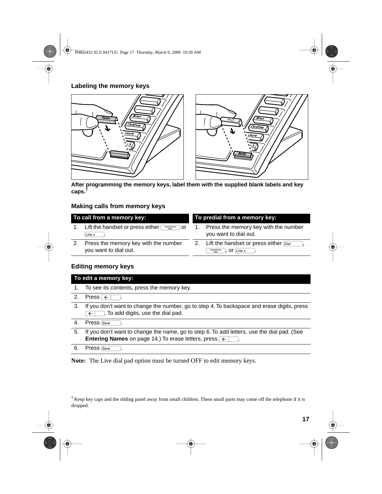#### <span id="page-18-0"></span>**Labeling the memory keys**



**After programming the memory keys, label them with the supplied blank labels and key caps.†**

#### **Making calls from memory keys**

| To call from a memory key: |  |
|----------------------------|--|
|----------------------------|--|

- 1. Lift the handset or press either **Figandsfree** or  $\sqrt{\text{Line } x}$ .
- 2. Press the memory key with the number you want to dial out.

#### To predial from a memory key:

- 1. Press the memory key with the number you want to dial out.
- 2. Lift the handset or press either  $\boxed{Data}$ ,  $\overline{\bigcup_{\text{Mute}}^{\text{Handstree}}}$ , Or  $\overline{\bigcup_{\text{Line } x}^{\text{}}\bigcup_{\text{Line } x}^{\text{Line } x}$ .

#### **Editing memory keys**

|    | To edit a memory key:                                                                                                                                                            |
|----|----------------------------------------------------------------------------------------------------------------------------------------------------------------------------------|
| 1. | To see its contents, press the memory key.                                                                                                                                       |
| 2. | Press $\overline{\epsilon}$                                                                                                                                                      |
| 3. | If you don't want to change the number, go to step 4. To backspace and erase digits, press<br>To add digits, use the dial pad.                                                   |
| 4. | Press Save                                                                                                                                                                       |
| 5. | If you don't want to change the name, go to step 6. To add letters, use the dial pad. (See<br><b>Entering Names</b> on page 14.) To erase letters, press $\overline{\leftarrow}$ |
| 6. | Press Save                                                                                                                                                                       |

**Note:** The Live dial pad option must be turned OFF to edit memory keys.

 $\dagger$  Keep key caps and the sliding panel away from small children. These small parts may come off the telephone if it is dropped.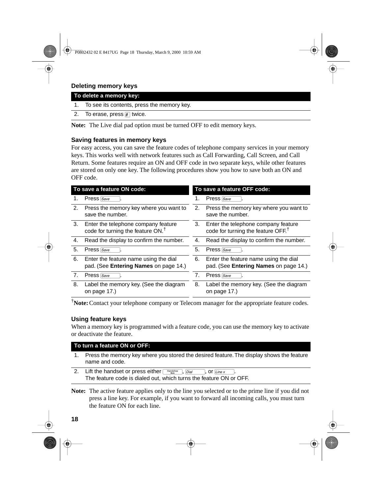## **Deleting memory keys**

| To delete a memory key: |                                               |  |
|-------------------------|-----------------------------------------------|--|
|                         | 1. To see its contents, press the memory key. |  |
|                         | 2. To erase, press $\#$ twice.                |  |

**Note:** The Live dial pad option must be turned OFF to edit memory keys.

#### **Saving features in memory keys**

For easy access, you can save the feature codes of telephone company services in your memory keys. This works well with network features such as Call Forwarding, Call Screen, and Call Return. Some features require an ON and OFF code in two separate keys, while other features are stored on only one key. The following procedures show you how to save both an ON and OFF code.

| To save a feature ON code: |                                                                                | To save a feature OFF code: |                                                                                       |  |
|----------------------------|--------------------------------------------------------------------------------|-----------------------------|---------------------------------------------------------------------------------------|--|
| 1.                         | Press Save                                                                     | 1.                          | Press Save                                                                            |  |
| 2.                         | Press the memory key where you want to<br>save the number.                     | 2.                          | Press the memory key where you want to<br>save the number.                            |  |
| 3.                         | Enter the telephone company feature<br>code for turning the feature $ON.†$     | 3.                          | Enter the telephone company feature<br>code for turning the feature OFF. <sup>†</sup> |  |
| 4.                         | Read the display to confirm the number.                                        | 4.                          | Read the display to confirm the number.                                               |  |
| 5.                         | Press Save                                                                     | 5.                          | Press Save                                                                            |  |
| 6.                         | Enter the feature name using the dial<br>pad. (See Entering Names on page 14.) | 6.                          | Enter the feature name using the dial<br>pad. (See Entering Names on page 14.)        |  |
| 7.                         | Press Save                                                                     | 7.                          | Press Save                                                                            |  |
| 8.                         | Label the memory key. (See the diagram<br>on page 17.)                         | 8.                          | Label the memory key. (See the diagram<br>on page 17.)                                |  |

†**Note:**Contact your telephone company or Telecom manager for the appropriate feature codes.

#### **Using feature keys**

When a memory key is programmed with a feature code, you can use the memory key to activate or deactivate the feature.

#### **To turn a feature ON or OFF:**

- 1. Press the memory key where you stored the desired feature. The display shows the feature name and code.
- 2. Lift the handset or press either  $\sqrt{\frac{\text{Handsfree}}{\text{Muds}}}$ ,  $\frac{\text{Dial}}{\text{Dial}}$ , or  $\boxed{\text{Line } x}$ The feature code is dialed out, which turns the feature ON or OFF.
- **Note:** The active feature applies only to the line you selected or to the prime line if you did not press a line key. For example, if you want to forward all incoming calls, you must turn the feature ON for each line.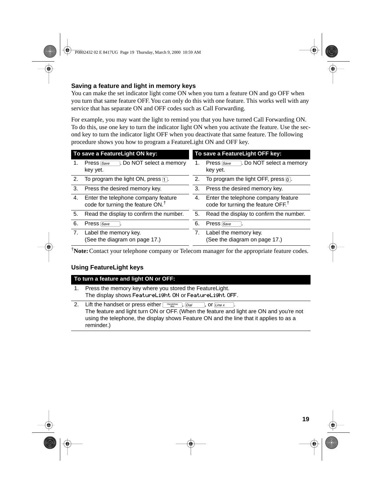## **Saving a feature and light in memory keys**

You can make the set indicator light come ON when you turn a feature ON and go OFF when you turn that same feature OFF. You can only do this with one feature. This works well with any service that has separate ON and OFF codes such as Call Forwarding.

For example, you may want the light to remind you that you have turned Call Forwarding ON. To do this, use one key to turn the indicator light ON when you activate the feature. Use the second key to turn the indicator light OFF when you deactivate that same feature. The following procedure shows you how to program a FeatureLight ON and OFF key.

| To save a FeatureLight ON key: |                                                                                      | To save a FeatureLight OFF key: |                                                                                       |  |
|--------------------------------|--------------------------------------------------------------------------------------|---------------------------------|---------------------------------------------------------------------------------------|--|
| 1.                             | l. Do NOT select a memory<br>Press Save<br>key yet.                                  | 1.                              | l. Do NOT select a memory<br>Press Save<br>key yet.                                   |  |
| 2.                             | To program the light ON, press $\Box$ .                                              | 2.                              | To program the light OFF, press $\overline{0}$ .                                      |  |
| 3.                             | Press the desired memory key.                                                        | 3.                              | Press the desired memory key.                                                         |  |
| 4.                             | Enter the telephone company feature<br>code for turning the feature ON. <sup>†</sup> | 4.                              | Enter the telephone company feature<br>code for turning the feature OFF. <sup>†</sup> |  |
| 5.                             | Read the display to confirm the number.                                              | 5.                              | Read the display to confirm the number.                                               |  |
| 6.                             | Press Save                                                                           | 6.                              | Press Save                                                                            |  |
| 7.                             | Label the memory key.<br>(See the diagram on page 17.)                               | 7.                              | Label the memory key.<br>(See the diagram on page 17.)                                |  |

†**Note:**Contact your telephone company or Telecom manager for the appropriate feature codes.

## **Using FeatureLight keys**

| To turn a feature and light ON or OFF: |                                                            |
|----------------------------------------|------------------------------------------------------------|
|                                        | 1. Press the memory key where you stored the FeatureLight. |
|                                        | The display shows FeatureLight ON or FeatureLight OFF.     |

2. Lift the handset or press either  $\lceil \frac{\text{Handsfree}}{\text{Mate}} \rceil$ ,  $\lceil \frac{\text{Dial}}{\text{Dial}} \rceil$ , or  $\lceil \frac{\text{Line } x}{\text{Line } x} \rceil$ The feature and light turn ON or OFF. (When the feature and light are ON and you're not using the telephone, the display shows Feature ON and the line that it applies to as a reminder.)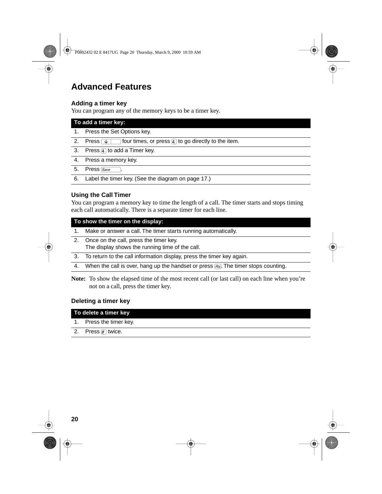# <span id="page-21-0"></span>**Advanced Features**

#### **Adding a timer key**

You can program any of the memory keys to be a timer key.

| To add a timer key:  |                                                                                  |  |
|----------------------|----------------------------------------------------------------------------------|--|
| $\mathbf{1}_{\cdot}$ | Press the Set Options key.                                                       |  |
| 2.                   | four times, or press $\boxed{4}$ to go directly to the item.<br>Press $\sqrt{1}$ |  |
| 3.                   | Press $\boxed{4}$ to add a Timer key.                                            |  |
| 4.                   | Press a memory key.                                                              |  |
| 5.                   | Press Save                                                                       |  |
| 6.                   | Label the timer key. (See the diagram on page 17.)                               |  |

#### **Using the Call Timer**

You can program a memory key to time the length of a call. The timer starts and stops timing each call automatically. There is a separate timer for each line.

#### **To show the timer on the display:**

- 1. Make or answer a call. The timer starts running automatically.
- 2. Once on the call, press the timer key. The display shows the running time of the call.
- 3. To return to the call information display, press the timer key again.
- 4. When the call is over, hang up the handset or press  $F_{\text{NS}}$ . The timer stops counting.
- **Note:** To show the elapsed time of the most recent call (or last call) on each line when you're not on a call, press the timer key.

#### **Deleting a timer key**

| To delete a timer key |                         |
|-----------------------|-------------------------|
|                       | 1. Press the timer key. |

#### 2. Press  $\mathbb{F}$  twice.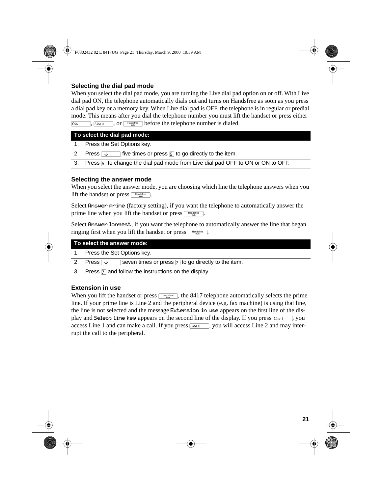## <span id="page-22-0"></span>**Selecting the dial pad mode**

When you select the dial pad mode, you are turning the Live dial pad option on or off. With Live dial pad ON, the telephone automatically dials out and turns on Handsfree as soon as you press a dial pad key or a memory key. When Live dial pad is OFF, the telephone is in regular or predial mode. This means after you dial the telephone number you must lift the handset or press either  $\boxed{\text{Data}}$ ,  $\boxed{\text{Line } x}$ , or  $\boxed{\text{Handsfree}}$  before the telephone number is dialed.

#### **To select the dial pad mode:**

1. Press the Set Options key.

2. Press  $\sqrt{1}$  five times or press  $\sqrt{5}$  to go directly to the item.

3. Press  $\overline{5}$  to change the dial pad mode from Live dial pad OFF to ON or ON to OFF.

#### **Selecting the answer mode**

When you select the answer mode, you are choosing which line the telephone answers when you lift the handset or press  $\Box$ 

Select Answer prime (factory setting), if you want the telephone to automatically answer the prime line when you lift the handset or press  $\Box$ 

Select Answer longest, if you want the telephone to automatically answer the line that began ringing first when you lift the handset or press  $\Box$  Handsfree  $\Box$ .

| To select the answer mode: |                                                                                              |  |
|----------------------------|----------------------------------------------------------------------------------------------|--|
|                            | 1. Press the Set Options key.                                                                |  |
| 2.                         | seven times or press $\boxed{7}$ to go directly to the item.<br>Press $\sqrt{1-\frac{1}{2}}$ |  |
|                            | 3. Press $\boxed{7}$ and follow the instructions on the display.                             |  |

#### **Extension in use**

When you lift the handset or press  $\Box$  the 8417 telephone automatically selects the prime line. If your prime line is Line 2 and the peripheral device (e.g. fax machine) is using that line, the line is not selected and the message Extension in use appears on the first line of the display and Select line key appears on the second line of the display. If you press  $\overline{Line 1}$ , you access Line 1 and can make a call. If you press  $\overline{\text{Line 2}}$ , you will access Line 2 and may interrupt the call to the peripheral.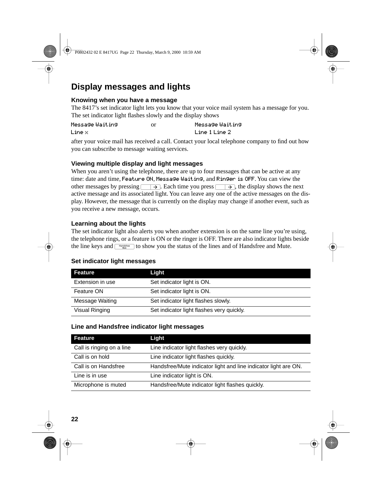# **Display messages and lights**

#### **Knowing when you have a message**

The 8417's set indicator light lets you know that your voice mail system has a message for you. The set indicator light flashes slowly and the display shows

| Message Waiting | Ωr | Message Waiting |
|-----------------|----|-----------------|
| Line $\times$   |    | Line 1 Line 2   |

after your voice mail has received a call. Contact your local telephone company to find out how you can subscribe to message waiting services.

#### **Viewing multiple display and light messages**

When you aren't using the telephone, there are up to four messages that can be active at any time: date and time, Feature ON, Message Waiting, and Ringer is OFF. You can view the other messages by pressing  $\Box$ . Each time you press  $\Box$ , the display shows the next active message and its associated light. You can leave any one of the active messages on the display. However, the message that is currently on the display may change if another event, such as you receive a new message, occurs.

#### **Learning about the lights**

The set indicator light also alerts you when another extension is on the same line you're using, the telephone rings, or a feature is ON or the ringer is OFF. There are also indicator lights beside the line keys and  $\boxed{\leftarrow_{\text{transitive}}}$  to show you the status of the lines and of Handsfree and Mute.

#### **Set indicator light messages**

| Feature          | Light                                     |
|------------------|-------------------------------------------|
| Extension in use | Set indicator light is ON.                |
| Feature ON       | Set indicator light is ON.                |
| Message Waiting  | Set indicator light flashes slowly.       |
| Visual Ringing   | Set indicator light flashes very quickly. |

#### **Line and Handsfree indicator light messages**

| Feature                   | Light                                                           |
|---------------------------|-----------------------------------------------------------------|
| Call is ringing on a line | Line indicator light flashes very quickly.                      |
| Call is on hold           | Line indicator light flashes quickly.                           |
| Call is on Handsfree      | Handsfree/Mute indicator light and line indicator light are ON. |
| Line is in use            | Line indicator light is ON.                                     |
| Microphone is muted       | Handsfree/Mute indicator light flashes quickly.                 |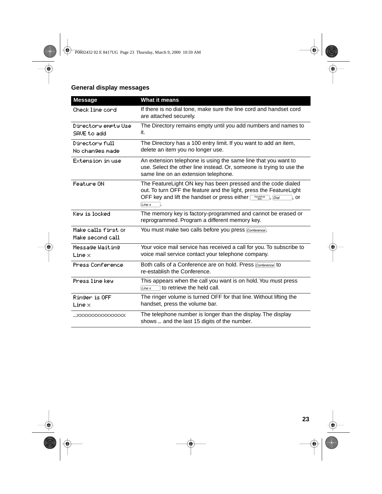# **General display messages**

| <b>Message</b>                          | What it means                                                                                                                                                                                                           |
|-----------------------------------------|-------------------------------------------------------------------------------------------------------------------------------------------------------------------------------------------------------------------------|
| Check line cord                         | If there is no dial tone, make sure the line cord and handset cord<br>are attached securely.                                                                                                                            |
| Directory emety Use<br>SAVE to add      | The Directory remains empty until you add numbers and names to<br>it.                                                                                                                                                   |
| Directory full<br>No changes made       | The Directory has a 100 entry limit. If you want to add an item,<br>delete an item you no longer use.                                                                                                                   |
| Extension in use                        | An extension telephone is using the same line that you want to<br>use. Select the other line instead. Or, someone is trying to use the<br>same line on an extension telephone.                                          |
| Feature ON                              | The FeatureLight ON key has been pressed and the code dialed<br>out. To turn OFF the feature and the light, press the FeatureLight<br>OFF key and lift the handset or press either<br>Handsfree<br>or<br>Dial<br>Line x |
| Key is locked                           | The memory key is factory-programmed and cannot be erased or<br>reprogrammed. Program a different memory key.                                                                                                           |
| Make calls first or<br>Make second call | You must make two calls before you press Conference.                                                                                                                                                                    |
| Message Waiting<br>$Line \times$        | Your voice mail service has received a call for you. To subscribe to<br>voice mail service contact your telephone company.                                                                                              |
| Press Conference                        | Both calls of a Conference are on hold. Press Conference to<br>re-establish the Conference.                                                                                                                             |
| Press line key                          | This appears when the call you want is on hold. You must press<br>to retrieve the held call.<br>Line x                                                                                                                  |
| Ringer is OFF<br>$Line \times$          | The ringer volume is turned OFF for that line. Without lifting the<br>handset, press the volume bar.                                                                                                                    |
| xxxxxxxxxxxxxxxx                        | The telephone number is longer than the display. The display<br>shows  and the last 15 digits of the number.                                                                                                            |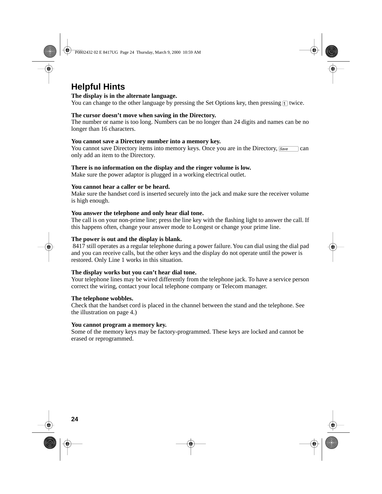# **Helpful Hints**

#### **The display is in the alternate language.**

You can change to the other language by pressing the Set Options key, then pressing  $\eta$  twice.

#### **The cursor doesn't move when saving in the Directory.**

The number or name is too long. Numbers can be no longer than 24 digits and names can be no longer than 16 characters.

#### **You cannot save a Directory number into a memory key.**

You cannot save Directory items into memory keys. Once you are in the Directory,  $\sqrt{\frac{Save}{\sqrt{Save}}}$  can only add an item to the Directory.

#### **There is no information on the display and the ringer volume is low.**

Make sure the power adaptor is plugged in a working electrical outlet.

#### **You cannot hear a caller or be heard.**

Make sure the handset cord is inserted securely into the jack and make sure the receiver volume is high enough.

#### **You answer the telephone and only hear dial tone.**

The call is on your non-prime line; press the line key with the flashing light to answer the call. If this happens often, change your answer mode to Longest or change your prime line.

#### **The power is out and the display is blank.**

 8417 still operates as a regular telephone during a power failure. You can dial using the dial pad and you can receive calls, but the other keys and the display do not operate until the power is restored. Only Line 1 works in this situation.

#### **The display works but you can't hear dial tone.**

Your telephone lines may be wired differently from the telephone jack. To have a service person correct the wiring, contact your local telephone company or Telecom manager.

#### **The telephone wobbles.**

Check that the handset cord is placed in the channel between the stand and the telephone. See the illustration on page 4.)

#### **You cannot program a memory key.**

Some of the memory keys may be factory-programmed. These keys are locked and cannot be erased or reprogrammed.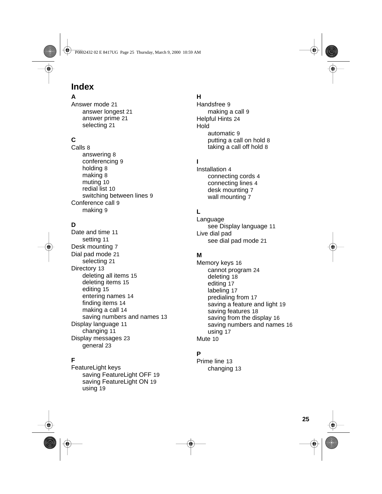# **Index**

# **A**

Answer mode 21 answer longest 21 answer prime 21 selecting 21

# **C**

Calls 8 answering 8 conferencing 9 holding 8 making 8 muting 10 redial list 10 switching between lines 9 Conference call 9 making 9

# **D**

Date and time 11 setting 11 Desk mounting 7 Dial pad mode 21 selecting 21 Directory 13 deleting all items 15 deleting items 15 editing 15 entering names 14 finding items 14 making a call 14 saving numbers and names 13 Display language 11 changing 11 Display messages 23 general 23

#### **F**

FeatureLight keys saving FeatureLight OFF 19 saving FeatureLight ON 19 using 19

#### **H**

Handsfree 9 making a call 9 Helpful Hints 24 Hold automatic 9 putting a call on hold 8 taking a call off hold 8

# **I**

Installation 4 connecting cords 4 connecting lines 4 desk mounting 7 wall mounting 7

# **L**

Language see Display language 11 Live dial pad see dial pad mode 21

#### **M**

Memory keys 16 cannot program 24 deleting 18 editing 17 labeling 17 predialing from 17 saving a feature and light 19 saving features 18 saving from the display 16 saving numbers and names 16 using 17 Mute 10

#### **P**

Prime line 13 changing 13